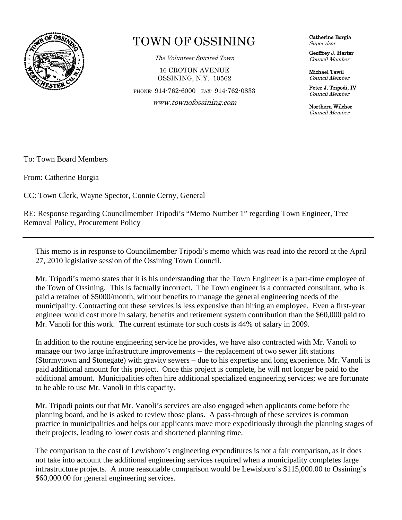

## TOWN OF OSSINING

The Volunteer Spirited Town

16 CROTON AVENUE OSSINING, N.Y. 10562

PHONE: 914-762-6000 FAX: 914-762-0833

www.townofossining.com

Catherine Borgia Supervisor

Geoffrey J. Harter Council Member

Michael Tawil Council Member

Peter J. Tripodi, IV Council Member

Northern Wilcher Council Member

To: Town Board Members

From: Catherine Borgia

CC: Town Clerk, Wayne Spector, Connie Cerny, General

RE: Response regarding Councilmember Tripodi's "Memo Number 1" regarding Town Engineer, Tree Removal Policy, Procurement Policy

This memo is in response to Councilmember Tripodi's memo which was read into the record at the April 27, 2010 legislative session of the Ossining Town Council.

Mr. Tripodi's memo states that it is his understanding that the Town Engineer is a part-time employee of the Town of Ossining. This is factually incorrect. The Town engineer is a contracted consultant, who is paid a retainer of \$5000/month, without benefits to manage the general engineering needs of the municipality. Contracting out these services is less expensive than hiring an employee. Even a first-year engineer would cost more in salary, benefits and retirement system contribution than the \$60,000 paid to Mr. Vanoli for this work. The current estimate for such costs is 44% of salary in 2009.

In addition to the routine engineering service he provides, we have also contracted with Mr. Vanoli to manage our two large infrastructure improvements -- the replacement of two sewer lift stations (Stormytown and Stonegate) with gravity sewers – due to his expertise and long experience. Mr. Vanoli is paid additional amount for this project. Once this project is complete, he will not longer be paid to the additional amount. Municipalities often hire additional specialized engineering services; we are fortunate to be able to use Mr. Vanoli in this capacity.

Mr. Tripodi points out that Mr. Vanoli's services are also engaged when applicants come before the planning board, and he is asked to review those plans. A pass-through of these services is common practice in municipalities and helps our applicants move more expeditiously through the planning stages of their projects, leading to lower costs and shortened planning time.

The comparison to the cost of Lewisboro's engineering expenditures is not a fair comparison, as it does not take into account the additional engineering services required when a municipality completes large infrastructure projects. A more reasonable comparison would be Lewisboro's \$115,000.00 to Ossining's \$60,000.00 for general engineering services.